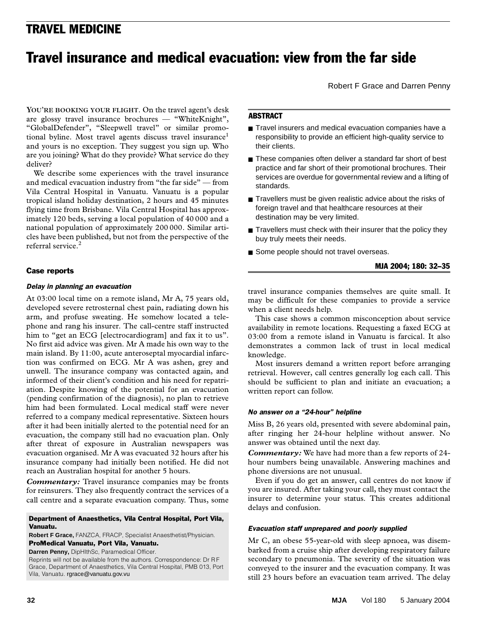# TRAVEL MEDICINE TRAVEL MEDICINE

# Travel insurance and medical evacuation: view from the far side

Robert F Grace and Darren Penny

are you joining? What do they provide? What service do they deliver? **YOU'RE BOOKING YOUR FLIGHT**. On the travel agent's desk are glossy travel insurance brochures — "WhiteKnight", "GlobalDefender", "Sleepwell travel" or similar promotional byline. Most travel agents discuss travel insurance<sup>1</sup> and yours is no exception. They suggest you sign up. Who

We describe some experiences with the travel insurance and medical evacuation industry from "the far side" — from Vila Central Hospital in Vanuatu. Vanuatu is a popular tropical island holiday destination, 2 hours and 45 minutes flying time from Brisbane. Vila Central Hospital has approximately 120 beds, serving a local population of 40 000 and a national population of approximately 200 000. Similar articles have been published, but not from the perspective of the referral service.<sup>2</sup>

# Case reports

### *Delay in planning an evacuation*

At 03:00 local time on a remote island, Mr A, 75 years old, developed severe retrosternal chest pain, radiating down his arm, and profuse sweating. He somehow located a telephone and rang his insurer. The call-centre staff instructed him to "get an ECG [electrocardiogram] and fax it to us". No first aid advice was given. Mr A made his own way to the main island. By 11:00, acute anteroseptal myocardial infarction was confirmed on ECG. Mr A was ashen, grey and unwell. The insurance company was contacted again, and informed of their client's condition and his need for repatriation. Despite knowing of the potential for an evacuation (pending confirmation of the diagnosis), no plan to retrieve him had been formulated. Local medical staff were never referred to a company medical representative. Sixteen hours after it had been initially alerted to the potential need for an evacuation, the company still had no evacuation plan. Only after threat of exposure in Australian newspapers was evacuation organised. Mr A was evacuated 32 hours after his insurance company had initially been notified. He did not reach an Australian hospital for another 5 hours.

*Commentary:* Travel insurance companies may be fronts for reinsurers. They also frequently contract the services of a call centre and a separate evacuation company. Thus, some

#### Department of Anaesthetics, Vila Central Hospital, Port Vila, Vanuatu.

**Robert F Grace,** FANZCA, FRACP, Specialist Anaesthetist/Physician.

# ProMedical Vanuatu, Port Vila, Vanuatu.

**Darren Penny,** DipHlthSc, Paramedical Officer.

Reprints will not be available from the authors. Correspondence: Dr R F Grace, Department of Anaesthetics, Vila Central Hospital, PMB 013, Port Vila, Vanuatu. rgrace@vanuatu.gov.vu

# **ABSTRACT**

- Travel insurers and medical evacuation companies have a responsibility to provide an efficient high-quality service to their clients.
- These companies often deliver a standard far short of best practice and far short of their promotional brochures. Their services are overdue for governmental review and a lifting of standards.
- Travellers must be given realistic advice about the risks of foreign travel and that healthcare resources at their destination may be very limited.
- Travellers must check with their insurer that the policy they buy truly meets their needs.
- Some people should not travel overseas.

## MJA 2004; 180: 32–35

travel insurance companies themselves are quite small. It may be difficult for these companies to provide a service when a client needs help.

This case shows a common misconception about service availability in remote locations. Requesting a faxed ECG at 03:00 from a remote island in Vanuatu is farcical. It also demonstrates a common lack of trust in local medical knowledge.

Most insurers demand a written report before arranging retrieval. However, call centres generally log each call. This should be sufficient to plan and initiate an evacuation; a written report can follow.

### *No answer on a "24-hour" helpline*

Miss B, 26 years old, presented with severe abdominal pain, after ringing her 24-hour helpline without answer. No answer was obtained until the next day.

*Commentary:* We have had more than a few reports of 24 hour numbers being unavailable. Answering machines and phone diversions are not unusual.

Even if you do get an answer, call centres do not know if you are insured. After taking your call, they must contact the insurer to determine your status. This creates additional delays and confusion.

### *Evacuation staff unprepared and poorly supplied*

Mr C, an obese 55-year-old with sleep apnoea, was disembarked from a cruise ship after developing respiratory failure secondary to pneumonia. The severity of the situation was conveyed to the insurer and the evacuation company. It was still 23 hours before an evacuation team arrived. The delay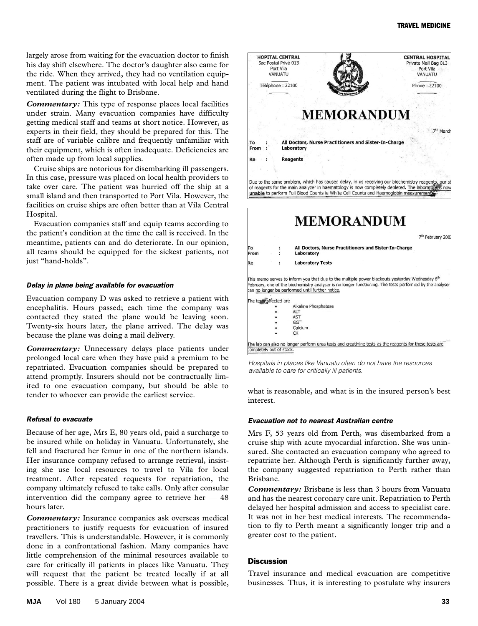largely arose from waiting for the evacuation doctor to finish his day shift elsewhere. The doctor's daughter also came for the ride. When they arrived, they had no ventilation equipment. The patient was intubated with local help and hand ventilated during the flight to Brisbane.

*Commentary:* This type of response places local facilities under strain. Many evacuation companies have difficulty getting medical staff and teams at short notice. However, as experts in their field, they should be prepared for this. The staff are of variable calibre and frequently unfamiliar with their equipment, which is often inadequate. Deficiencies are often made up from local supplies.

Cruise ships are notorious for disembarking ill passengers. In this case, pressure was placed on local health providers to take over care. The patient was hurried off the ship at a small island and then transported to Port Vila. However, the facilities on cruise ships are often better than at Vila Central Hospital.

Evacuation companies staff and equip teams according to the patient's condition at the time the call is received. In the meantime, patients can and do deteriorate. In our opinion, all teams should be equipped for the sickest patients, not just "hand-holds".

### *Delay in plane being available for evacuation*

Evacuation company D was asked to retrieve a patient with encephalitis. Hours passed; each time the company was contacted they stated the plane would be leaving soon. Twenty-six hours later, the plane arrived. The delay was because the plane was doing a mail delivery.

*Commentary:* Unnecessary delays place patients under prolonged local care when they have paid a premium to be repatriated. Evacuation companies should be prepared to attend promptly. Insurers should not be contractually limited to one evacuation company, but should be able to tender to whoever can provide the earliest service.

#### *Refusal to evacuate*

Because of her age, Mrs E, 80 years old, paid a surcharge to be insured while on holiday in Vanuatu. Unfortunately, she fell and fractured her femur in one of the northern islands. Her insurance company refused to arrange retrieval, insisting she use local resources to travel to Vila for local treatment. After repeated requests for repatriation, the company ultimately refused to take calls. Only after consular intervention did the company agree to retrieve her  $-48$ hours later.

*Commentary:* Insurance companies ask overseas medical practitioners to justify requests for evacuation of insured travellers. This is understandable. However, it is commonly done in a confrontational fashion. Many companies have little comprehension of the minimal resources available to care for critically ill patients in places like Vanuatu. They will request that the patient be treated locally if at all possible. There is a great divide between what is possible,



*Hospitals in places like Vanuatu often do not have the resources available to care for critically ill patients.*

what is reasonable, and what is in the insured person's best interest.

#### *Evacuation not to nearest Australian centre*

Mrs F, 53 years old from Perth, was disembarked from a cruise ship with acute myocardial infarction. She was uninsured. She contacted an evacuation company who agreed to repatriate her. Although Perth is significantly further away, the company suggested repatriation to Perth rather than Brisbane.

*Commentary:* Brisbane is less than 3 hours from Vanuatu and has the nearest coronary care unit. Repatriation to Perth delayed her hospital admission and access to specialist care. It was not in her best medical interests. The recommendation to fly to Perth meant a significantly longer trip and a greater cost to the patient.

#### **Discussion**

Travel insurance and medical evacuation are competitive businesses. Thus, it is interesting to postulate why insurers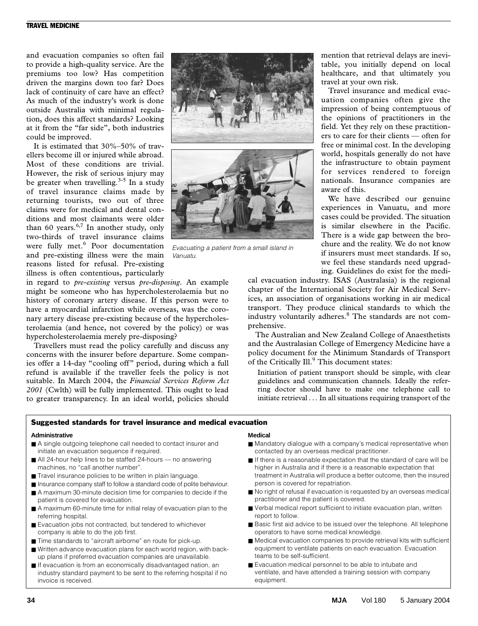# TRAVEL MEDICINE

and evacuation companies so often fail to provide a high-quality service. Are the premiums too low? Has competition driven the margins down too far? Does lack of continuity of care have an effect? As much of the industry's work is done outside Australia with minimal regulation, does this affect standards? Looking at it from the "far side", both industries could be improved.

It is estimated that 30%–50% of travellers become ill or injured while abroad. Most of these conditions are trivial. However, the risk of serious injury may be greater when travelling.<sup>3-5</sup> In a study of travel insurance claims made by returning tourists, two out of three claims were for medical and dental conditions and most claimants were older than 60 years. $6,7$  In another study, only two-thirds of travel insurance claims were fully met.<sup>6</sup> Poor documentation and pre-existing illness were the main reasons listed for refusal. Pre-existing illness is often contentious, particularly

in regard to *pre-existing* versus *pre-disposing*. An example might be someone who has hypercholesterolaemia but no history of coronary artery disease. If this person were to have a myocardial infarction while overseas, was the coronary artery disease pre-existing because of the hypercholesterolaemia (and hence, not covered by the policy) or was hypercholesterolaemia merely pre-disposing?

Travellers must read the policy carefully and discuss any concerns with the insurer before departure. Some companies offer a 14-day "cooling off" period, during which a full refund is available if the traveller feels the policy is not suitable. In March 2004, the *Financial Services Reform Act 2001* (Cwlth) will be fully implemented. This ought to lead to greater transparency. In an ideal world, policies should



*Evacuating a patient from a small island in Vanuatu.*

mention that retrieval delays are inevitable, you initially depend on local healthcare, and that ultimately you travel at your own risk.

Travel insurance and medical evacuation companies often give the impression of being contemptuous of the opinions of practitioners in the field. Yet they rely on these practitioners to care for their clients — often for free or minimal cost. In the developing world, hospitals generally do not have the infrastructure to obtain payment for services rendered to foreign nationals. Insurance companies are aware of this.

We have described our genuine experiences in Vanuatu, and more cases could be provided. The situation is similar elsewhere in the Pacific. There is a wide gap between the brochure and the reality. We do not know if insurers must meet standards. If so, we feel these standards need upgrading. Guidelines do exist for the medi-

cal evacuation industry. ISAS (Australasia) is the regional chapter of the International Society for Air Medical Services, an association of organisations working in air medical transport. They produce clinical standards to which the industry voluntarily adheres.<sup>8</sup> The standards are not comprehensive.

The Australian and New Zealand College of Anaesthetists and the Australasian College of Emergency Medicine have a policy document for the Minimum Standards of Transport of the Critically Ill.<sup>9</sup> This document states:

Initiation of patient transport should be simple, with clear guidelines and communication channels. Ideally the referring doctor should have to make one telephone call to initiate retrieval . . . In all situations requiring transport of the

#### Suggested standards for travel insurance and medical evacuation

#### **Administrative**

- A single outgoing telephone call needed to contact insurer and initiate an evacuation sequence if required.
- All 24-hour help lines to be staffed 24-hours no answering machines, no "call another number".
- Travel insurance policies to be written in plain language.
- Insurance company staff to follow a standard code of polite behaviour.
- A maximum 30-minute decision time for companies to decide if the patient is covered for evacuation.
- A maximum 60-minute time for initial relay of evacuation plan to the referring hospital.
- Evacuation jobs not contracted, but tendered to whichever company is able to do the job first.
- Time standards to "aircraft airborne" en route for pick-up.
- Written advance evacuation plans for each world region, with backup plans if preferred evacuation companies are unavailable.
- If evacuation is from an economically disadvantaged nation, an industry standard payment to be sent to the referring hospital if no invoice is received.

#### **Medical**

- Mandatory dialogue with a company's medical representative when contacted by an overseas medical practitioner.
- If there is a reasonable expectation that the standard of care will be higher in Australia and if there is a reasonable expectation that treatment in Australia will produce a better outcome, then the insured person is covered for repatriation.
- No right of refusal if evacuation is requested by an overseas medical practitioner and the patient is covered.
- Verbal medical report sufficient to initiate evacuation plan, written report to follow.
- Basic first aid advice to be issued over the telephone. All telephone operators to have some medical knowledge.
- Medical evacuation companies to provide retrieval kits with sufficient equipment to ventilate patients on each evacuation. Evacuation teams to be self-sufficient.
- Evacuation medical personnel to be able to intubate and ventilate, and have attended a training session with company equipment.